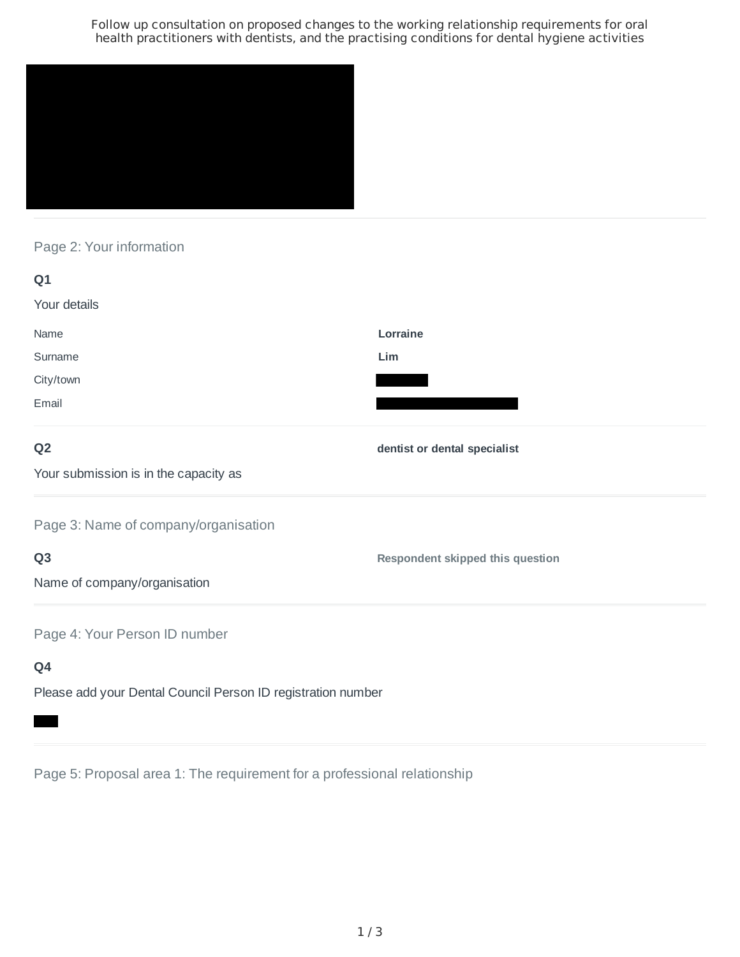Follow up consultation on proposed changes to the working relationship requirements for oral health practitioners with dentists, and the practising conditions for dental hygiene activities



# Page 2: Your information

| Q <sub>1</sub>                        |                                         |
|---------------------------------------|-----------------------------------------|
| Your details                          |                                         |
| Name                                  | Lorraine                                |
| Surname                               | Lim                                     |
| City/town                             |                                         |
| Email                                 |                                         |
| Q <sub>2</sub>                        | dentist or dental specialist            |
| Your submission is in the capacity as |                                         |
| Page 3: Name of company/organisation  |                                         |
| Q <sub>3</sub>                        | <b>Respondent skipped this question</b> |
| Name of company/organisation          |                                         |
| Page 4: Your Person ID number         |                                         |
| Q4                                    |                                         |

Please add your Dental Council Person ID registration number

Page 5: Proposal area 1: The requirement for a professional relationship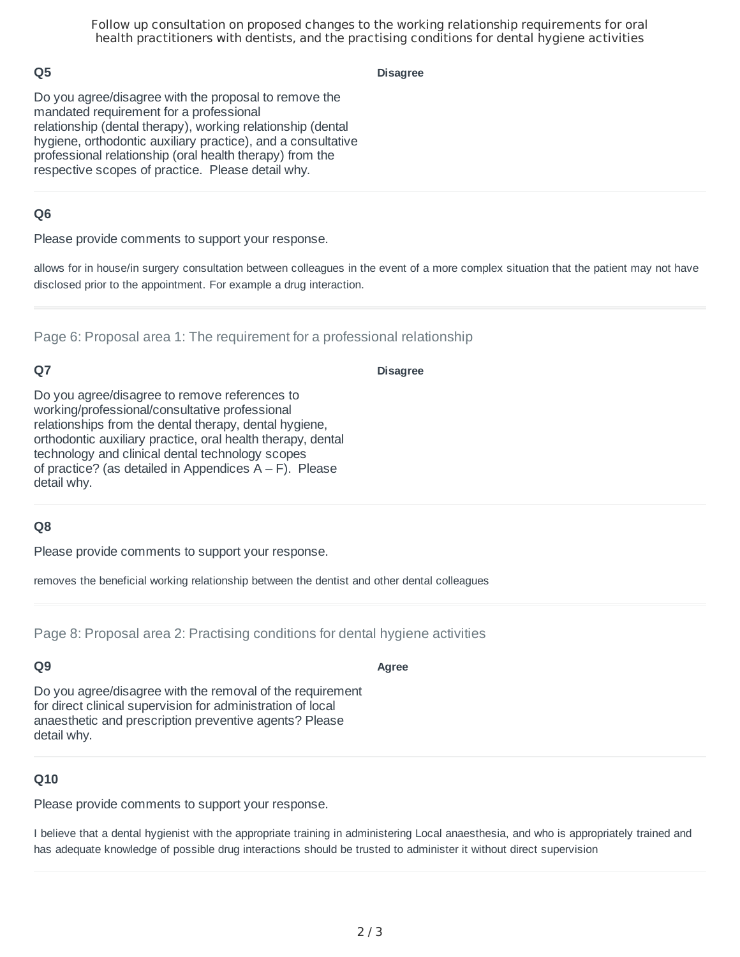Follow up consultation on proposed changes to the working relationship requirements for oral health practitioners with dentists, and the practising conditions for dental hygiene activities

## **Q5**

**Disagree**

Do you agree/disagree with the proposal to remove the mandated requirement for a professional relationship (dental therapy), working relationship (dental hygiene, orthodontic auxiliary practice), and a consultative professional relationship (oral health therapy) from the respective scopes of practice. Please detail why.

## **Q6**

Please provide comments to support your response.

allows for in house/in surgery consultation between colleagues in the event of a more complex situation that the patient may not have disclosed prior to the appointment. For example a drug interaction.

Page 6: Proposal area 1: The requirement for a professional relationship

# **Q7**

#### **Disagree**

Do you agree/disagree to remove references to working/professional/consultative professional relationships from the dental therapy, dental hygiene, orthodontic auxiliary practice, oral health therapy, dental technology and clinical dental technology scopes of practice? (as detailed in Appendices  $A - F$ ). Please detail why.

### **Q8**

Please provide comments to support your response.

removes the beneficial working relationship between the dentist and other dental colleagues

Page 8: Proposal area 2: Practising conditions for dental hygiene activities

### **Q9**

Do you agree/disagree with the removal of the requirement for direct clinical supervision for administration of local anaesthetic and prescription preventive agents? Please detail why.

### **Q10**

Please provide comments to support your response.

I believe that a dental hygienist with the appropriate training in administering Local anaesthesia, and who is appropriately trained and has adequate knowledge of possible drug interactions should be trusted to administer it without direct supervision

### **Agree**